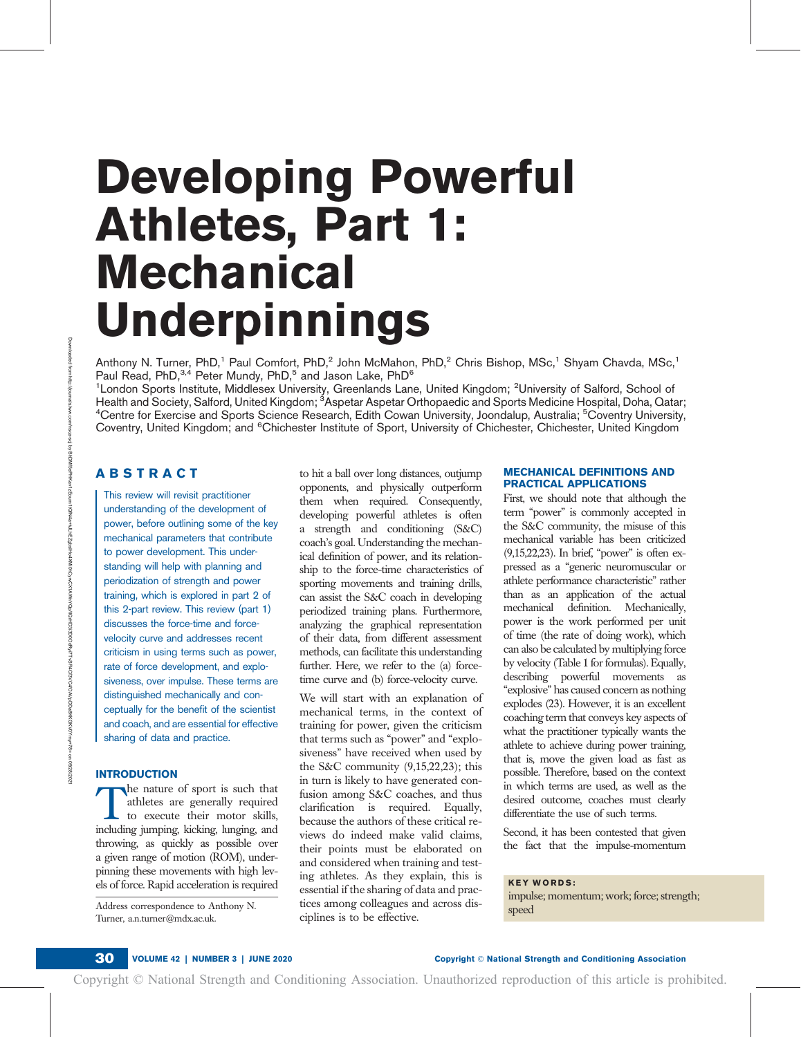# Developing Powerful Athletes, Part 1: Mechanical Underpinnings

Anthony N. Turner, PhD,<sup>1</sup> Paul Comfort, PhD,<sup>2</sup> John McMahon, PhD,<sup>2</sup> Chris Bishop, MSc,<sup>1</sup> Shyam Chavda, MSc,<sup>1</sup> Paul Read, PhD,<sup>3,4</sup> Peter Mundy, PhD,<sup>5</sup> and Jason Lake, PhD<sup>6</sup>

<sup>1</sup> London Sports Institute, Middlesex University, Greenlands Lane, United Kingdom; <sup>2</sup> University of Salford, School of Health and Society, Salford, United Kingdom; <sup>3</sup>Aspetar Aspetar Orthopaedic and Sports Medicine Hospital, Doha, Qatar;<br><sup>4</sup>Centre for Exercise and Sports Science Research, Edith Cowan University, Joondalup, Australia: <sup>5</sup>Co Centre for Exercise and Sports Science Research, Edith Cowan University, Joondalup, Australia; <sup>5</sup>Coventry University, Coventry, United Kingdom; and <sup>6</sup>Chichester Institute of Sport, University of Chichester, Chichester, United Kingdom

### ABSTRACT

This review will revisit practitioner understanding of the development of power, before outlining some of the key mechanical parameters that contribute to power development. This understanding will help with planning and periodization of strength and power training, which is explored in part 2 of this 2-part review. This review (part 1) discusses the force-time and forcevelocity curve and addresses recent criticism in using terms such as power, rate of force development, and explosiveness, over impulse. These terms are distinguished mechanically and conceptually for the benefit of the scientist and coach, and are essential for effective sharing of data and practice.

#### INTRODUCTION

The nature of sport is such that<br>
athletes are generally required<br>
to execute their motor skills,<br>
including jumping kicking lunging and athletes are generally required to execute their motor skills, including jumping, kicking, lunging, and throwing, as quickly as possible over a given range of motion (ROM), underpinning these movements with high levels of force. Rapid acceleration is required

Address correspondence to Anthony N. Turner, a.n.turner@mdx.ac.uk.

to hit a ball over long distances, outjump opponents, and physically outperform them when required. Consequently, developing powerful athletes is often a strength and conditioning (S&C) coach's goal. Understanding the mechanical definition of power, and its relationship to the force-time characteristics of sporting movements and training drills, can assist the S&C coach in developing periodized training plans. Furthermore, analyzing the graphical representation of their data, from different assessment methods, can facilitate this understanding further. Here, we refer to the (a) forcetime curve and (b) force-velocity curve.

We will start with an explanation of mechanical terms, in the context of training for power, given the criticism that terms such as "power" and "explosiveness" have received when used by the S&C community  $(9,15,22,23)$ ; this in turn is likely to have generated confusion among S&C coaches, and thus clarification is required. Equally, because the authors of these critical reviews do indeed make valid claims, their points must be elaborated on and considered when training and testing athletes. As they explain, this is essential if the sharing of data and practices among colleagues and across disciplines is to be effective.

#### MECHANICAL DEFINITIONS AND PRACTICAL APPLICATIONS

First, we should note that although the term "power" is commonly accepted in the S&C community, the misuse of this mechanical variable has been criticized (9,15,22,23). In brief, "power" is often expressed as a "generic neuromuscular or athlete performance characteristic" rather than as an application of the actual mechanical definition. Mechanically, power is the work performed per unit of time (the rate of doing work), which can also be calculated by multiplying force by velocity (Table 1 for formulas). Equally, describing powerful movements as "explosive" has caused concern as nothing explodes (23). However, it is an excellent coaching term that conveys key aspects of what the practitioner typically wants the athlete to achieve during power training, that is, move the given load as fast as possible. Therefore, based on the context in which terms are used, as well as the desired outcome, coaches must clearly differentiate the use of such terms.

Second, it has been contested that given the fact that the impulse-momentum

#### KEY WORDS:

impulse; momentum; work; force; strength; speed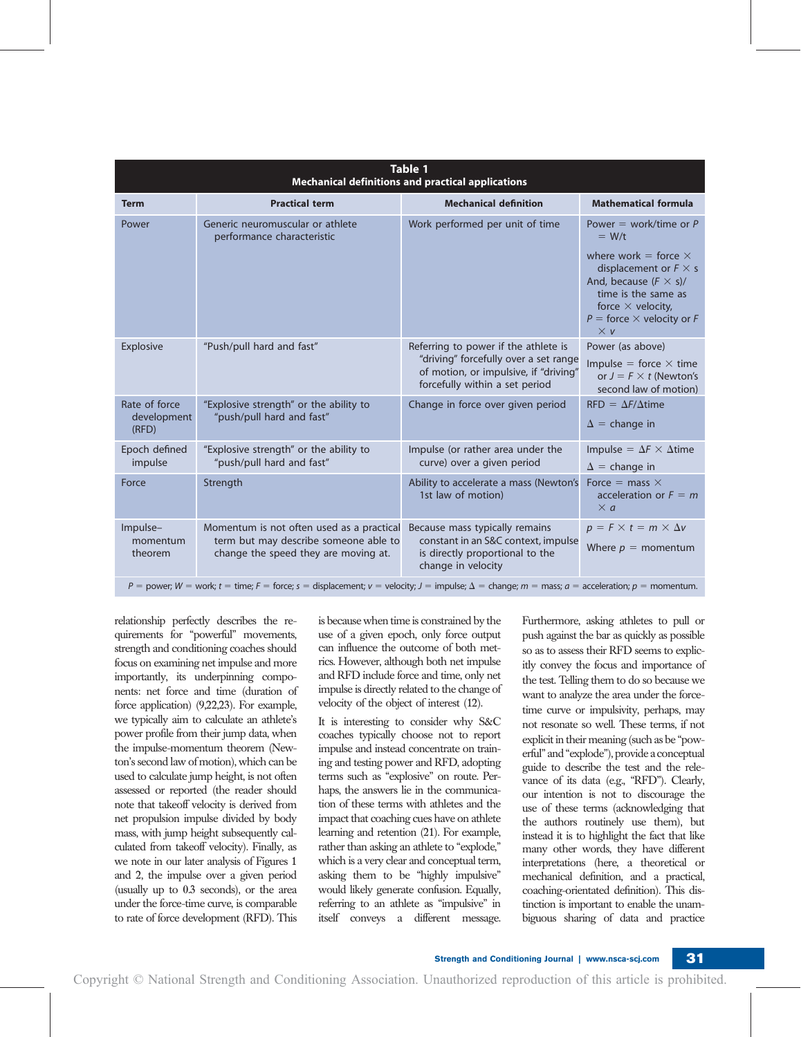| <b>Table 1</b><br><b>Mechanical definitions and practical applications</b>                                                                          |                                                                                                                            |                                                                                                                                                          |                                                                                                                                                                                                     |  |
|-----------------------------------------------------------------------------------------------------------------------------------------------------|----------------------------------------------------------------------------------------------------------------------------|----------------------------------------------------------------------------------------------------------------------------------------------------------|-----------------------------------------------------------------------------------------------------------------------------------------------------------------------------------------------------|--|
| <b>Term</b>                                                                                                                                         | <b>Practical term</b>                                                                                                      | <b>Mechanical definition</b>                                                                                                                             | <b>Mathematical formula</b>                                                                                                                                                                         |  |
| Power                                                                                                                                               | Generic neuromuscular or athlete<br>performance characteristic                                                             | Work performed per unit of time                                                                                                                          | Power = work/time or $P$<br>$= W/t$                                                                                                                                                                 |  |
|                                                                                                                                                     |                                                                                                                            |                                                                                                                                                          | where work = force $\times$<br>displacement or $F \times s$<br>And, because $(F \times s)$ /<br>time is the same as<br>force $\times$ velocity,<br>$P =$ force $\times$ velocity or F<br>$\times v$ |  |
| Explosive                                                                                                                                           | "Push/pull hard and fast"                                                                                                  | Referring to power if the athlete is<br>"driving" forcefully over a set range<br>of motion, or impulsive, if "driving"<br>forcefully within a set period | Power (as above)                                                                                                                                                                                    |  |
|                                                                                                                                                     |                                                                                                                            |                                                                                                                                                          | Impulse = force $\times$ time<br>or $J = F \times t$ (Newton's<br>second law of motion)                                                                                                             |  |
| Rate of force<br>development<br>(RFD)                                                                                                               | "Explosive strength" or the ability to<br>"push/pull hard and fast"                                                        | Change in force over given period                                                                                                                        | $RFD = \Delta F/\Delta t$ ime<br>$\Delta$ = change in                                                                                                                                               |  |
| Epoch defined<br>impulse                                                                                                                            | "Explosive strength" or the ability to<br>"push/pull hard and fast"                                                        | Impulse (or rather area under the<br>curve) over a given period                                                                                          | Impulse = $\Delta F \times \Delta t$ ime<br>$\Delta$ = change in                                                                                                                                    |  |
| Force                                                                                                                                               | Strength                                                                                                                   | Ability to accelerate a mass (Newton's<br>1st law of motion)                                                                                             | Force = mass $\times$<br>acceleration or $F = m$<br>$\times a$                                                                                                                                      |  |
| Impulse-<br>momentum<br>theorem                                                                                                                     | Momentum is not often used as a practical<br>term but may describe someone able to<br>change the speed they are moving at. | Because mass typically remains<br>constant in an S&C context, impulse<br>is directly proportional to the<br>change in velocity                           | $p = F \times t = m \times \Delta v$<br>Where $p =$ momentum                                                                                                                                        |  |
| P = power; W = work; t = time; F = force; s = displacement; v = velocity; J = impulse; $\Delta$ = change; m = mass; a = acceleration; p = momentum. |                                                                                                                            |                                                                                                                                                          |                                                                                                                                                                                                     |  |

relationship perfectly describes the requirements for "powerful" movements, strength and conditioning coaches should focus on examining net impulse and more importantly, its underpinning components: net force and time (duration of force application) (9,22,23). For example, we typically aim to calculate an athlete's power profile from their jump data, when the impulse-momentum theorem (Newton's second law of motion), which can be used to calculate jump height, is not often assessed or reported (the reader should note that takeoff velocity is derived from net propulsion impulse divided by body mass, with jump height subsequently calculated from takeoff velocity). Finally, as we note in our later analysis of Figures 1 and 2, the impulse over a given period (usually up to 0.3 seconds), or the area under the force-time curve, is comparable to rate of force development (RFD). This is because when time is constrained by the use of a given epoch, only force output can influence the outcome of both metrics. However, although both net impulse and RFD include force and time, only net impulse is directly related to the change of velocity of the object of interest (12).

It is interesting to consider why S&C coaches typically choose not to report impulse and instead concentrate on training and testing power and RFD, adopting terms such as "explosive" on route. Perhaps, the answers lie in the communication of these terms with athletes and the impact that coaching cues have on athlete learning and retention (21). For example, rather than asking an athlete to "explode," which is a very clear and conceptual term, asking them to be "highly impulsive" would likely generate confusion. Equally, referring to an athlete as "impulsive" in itself conveys a different message.

Furthermore, asking athletes to pull or push against the bar as quickly as possible so as to assess their RFD seems to explicitly convey the focus and importance of the test. Telling them to do so because we want to analyze the area under the forcetime curve or impulsivity, perhaps, may not resonate so well. These terms, if not explicit in their meaning (such as be "powerful" and "explode"), provide a conceptual guide to describe the test and the relevance of its data (e.g., "RFD"). Clearly, our intention is not to discourage the use of these terms (acknowledging that the authors routinely use them), but instead it is to highlight the fact that like many other words, they have different interpretations (here, a theoretical or mechanical definition, and a practical, coaching-orientated definition). This distinction is important to enable the unambiguous sharing of data and practice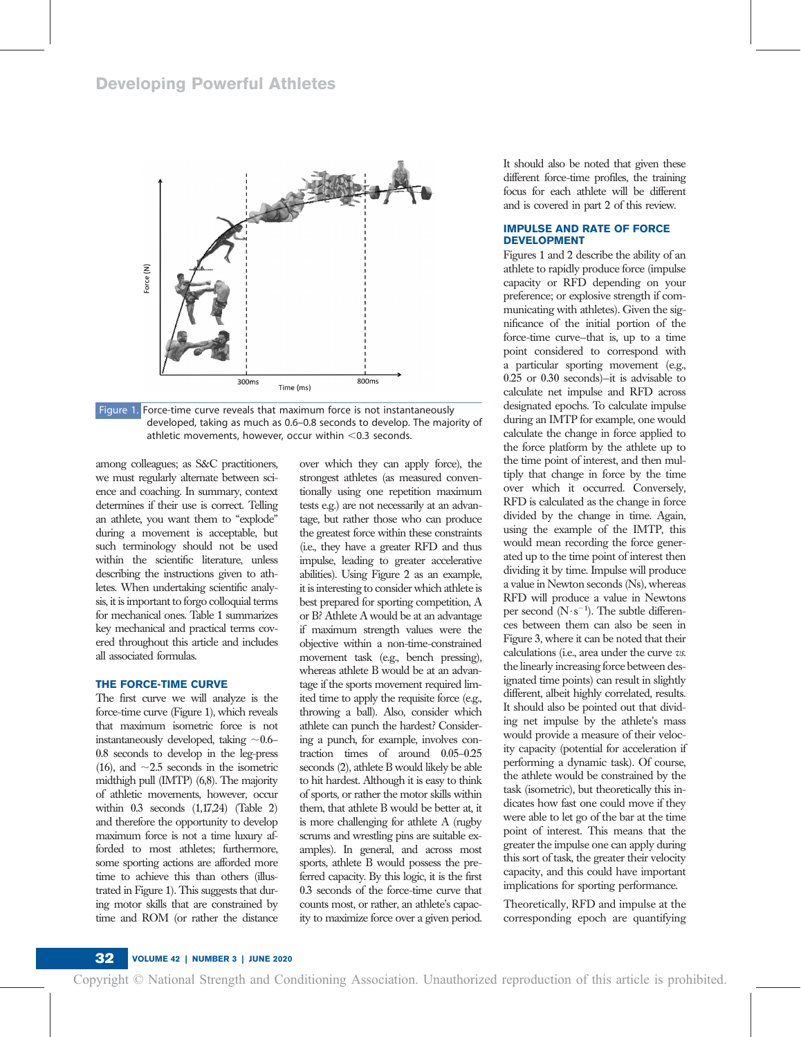

Figure 1. Force-time curve reveals that maximum force is not instantaneously developed, taking as much as 0.6–0.8 seconds to develop. The majority of athletic movements, however, occur within  $<$  0.3 seconds.

among colleagues; as S&C practitioners, we must regularly alternate between science and coaching. In summary, context determines if their use is correct. Telling an athlete, you want them to "explode" during a movement is acceptable, but such terminology should not be used within the scientific literature, unless describing the instructions given to athletes. When undertaking scientific analysis, it is important to forgo colloquial terms for mechanical ones. Table 1 summarizes key mechanical and practical terms covered throughout this article and includes all associated formulas.

#### THE FORCE-TIME CURVE

The first curve we will analyze is the force-time curve (Figure 1), which reveals that maximum isometric force is not instantaneously developed, taking  $\sim 0.6-$ 0.8 seconds to develop in the leg-press (16), and  $\sim$  2.5 seconds in the isometric midthigh pull (IMTP) (6,8). The majority of athletic movements, however, occur within 0.3 seconds (1,17,24) (Table 2) and therefore the opportunity to develop maximum force is not a time luxury afforded to most athletes; furthermore, some sporting actions are afforded more time to achieve this than others (illustrated in Figure 1). This suggests that during motor skills that are constrained by time and ROM (or rather the distance

over which they can apply force), the strongest athletes (as measured conventionally using one repetition maximum tests e.g.) are not necessarily at an advantage, but rather those who can produce the greatest force within these constraints (i.e., they have a greater RFD and thus impulse, leading to greater accelerative abilities). Using Figure 2 as an example, it is interesting to consider which athlete is best prepared for sporting competition, A or B? Athlete A would be at an advantage if maximum strength values were the objective within a non-time-constrained movement task (e.g., bench pressing), whereas athlete B would be at an advantage if the sports movement required limited time to apply the requisite force (e.g., throwing a ball). Also, consider which athlete can punch the hardest? Considering a punch, for example, involves contraction times of around 0.05–0.25 seconds (2), athlete B would likely be able to hit hardest. Although it is easy to think of sports, or rather the motor skills within them, that athlete B would be better at, it is more challenging for athlete A (rugby scrums and wrestling pins are suitable examples). In general, and across most sports, athlete B would possess the preferred capacity. By this logic, it is the first 0.3 seconds of the force-time curve that counts most, or rather, an athlete's capacity to maximize force over a given period.

It should also be noted that given these different force-time profiles, the training focus for each athlete will be different and is covered in part 2 of this review.

#### IMPULSE AND RATE OF FORCE DEVELOPMENT

Figures 1 and 2 describe the ability of an athlete to rapidly produce force (impulse capacity or RFD depending on your preference; or explosive strength if communicating with athletes). Given the significance of the initial portion of the force-time curve—that is, up to a time point considered to correspond with a particular sporting movement (e.g., 0.25 or 0.30 seconds)—it is advisable to calculate net impulse and RFD across designated epochs. To calculate impulse during an IMTP for example, one would calculate the change in force applied to the force platform by the athlete up to the time point of interest, and then multiply that change in force by the time over which it occurred. Conversely, RFD is calculated as the change in force divided by the change in time. Again, using the example of the IMTP, this would mean recording the force generated up to the time point of interest then dividing it by time. Impulse will produce a value in Newton seconds (Ns), whereas RFD will produce a value in Newtons per second  $(N \cdot s^{-1})$ . The subtle differences between them can also be seen in Figure 3, where it can be noted that their calculations (i.e., area under the curve vs. the linearly increasing force between designated time points) can result in slightly different, albeit highly correlated, results. It should also be pointed out that dividing net impulse by the athlete's mass would provide a measure of their velocity capacity (potential for acceleration if performing a dynamic task). Of course, the athlete would be constrained by the task (isometric), but theoretically this indicates how fast one could move if they were able to let go of the bar at the time point of interest. This means that the greater the impulse one can apply during this sort of task, the greater their velocity capacity, and this could have important implications for sporting performance.

Theoretically, RFD and impulse at the corresponding epoch are quantifying

Copyright © National Strength and Conditioning Association. Unauthorized reproduction of this article is prohibited.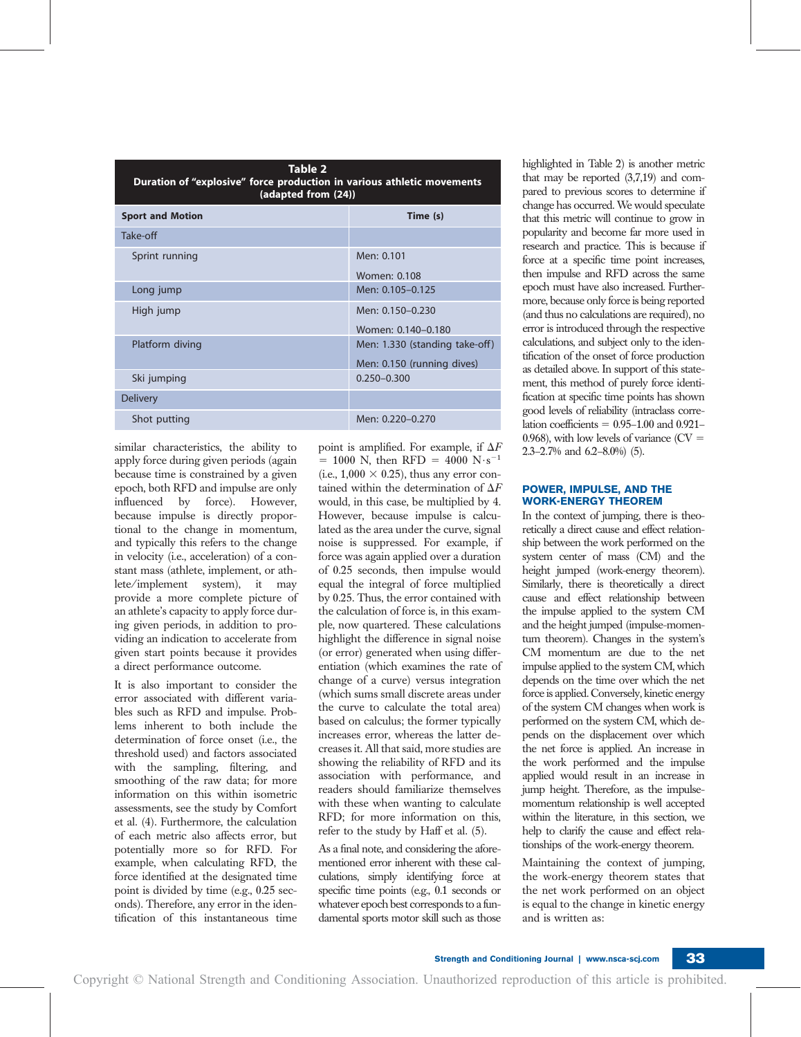| Table 2<br>Duration of "explosive" force production in various athletic movements<br>(adapted from (24)) |                                |  |  |
|----------------------------------------------------------------------------------------------------------|--------------------------------|--|--|
| <b>Sport and Motion</b>                                                                                  | Time (s)                       |  |  |
| Take-off                                                                                                 |                                |  |  |
| Sprint running                                                                                           | Men: 0.101                     |  |  |
|                                                                                                          | Women: 0.108                   |  |  |
| Long jump                                                                                                | Men: 0.105-0.125               |  |  |
| High jump                                                                                                | Men: 0.150-0.230               |  |  |
|                                                                                                          | Women: 0.140-0.180             |  |  |
| Platform diving                                                                                          | Men: 1.330 (standing take-off) |  |  |
|                                                                                                          | Men: 0.150 (running dives)     |  |  |
| Ski jumping                                                                                              | $0.250 - 0.300$                |  |  |
| <b>Delivery</b>                                                                                          |                                |  |  |
| Shot putting                                                                                             | Men: 0.220-0.270               |  |  |

similar characteristics, the ability to apply force during given periods (again because time is constrained by a given epoch, both RFD and impulse are only influenced by force). However, because impulse is directly proportional to the change in momentum, and typically this refers to the change in velocity (i.e., acceleration) of a constant mass (athlete, implement, or athlete/implement system), it may provide a more complete picture of an athlete's capacity to apply force during given periods, in addition to providing an indication to accelerate from given start points because it provides a direct performance outcome.

It is also important to consider the error associated with different variables such as RFD and impulse. Problems inherent to both include the determination of force onset (i.e., the threshold used) and factors associated with the sampling, filtering, and smoothing of the raw data; for more information on this within isometric assessments, see the study by Comfort et al. (4). Furthermore, the calculation of each metric also affects error, but potentially more so for RFD. For example, when calculating RFD, the force identified at the designated time point is divided by time (e.g., 0.25 seconds). Therefore, any error in the identification of this instantaneous time

point is amplified. For example, if  $\Delta F$ = 1000 N, then RFD = 4000  $N \cdot s^{-1}$ (i.e.,  $1,000 \times 0.25$ ), thus any error contained within the determination of  $\Delta F$ would, in this case, be multiplied by 4. However, because impulse is calculated as the area under the curve, signal noise is suppressed. For example, if force was again applied over a duration of 0.25 seconds, then impulse would equal the integral of force multiplied by 0.25. Thus, the error contained with the calculation of force is, in this example, now quartered. These calculations highlight the difference in signal noise (or error) generated when using differentiation (which examines the rate of change of a curve) versus integration (which sums small discrete areas under the curve to calculate the total area) based on calculus; the former typically increases error, whereas the latter decreases it. All that said, more studies are showing the reliability of RFD and its association with performance, and readers should familiarize themselves with these when wanting to calculate RFD; for more information on this, refer to the study by Haff et al. (5).

As a final note, and considering the aforementioned error inherent with these calculations, simply identifying force at specific time points (e.g., 0.1 seconds or whatever epoch best corresponds to a fundamental sports motor skill such as those highlighted in Table 2) is another metric that may be reported (3,7,19) and compared to previous scores to determine if change has occurred. We would speculate that this metric will continue to grow in popularity and become far more used in research and practice. This is because if force at a specific time point increases, then impulse and RFD across the same epoch must have also increased. Furthermore, because only force is being reported (and thus no calculations are required), no error is introduced through the respective calculations, and subject only to the identification of the onset of force production as detailed above. In support of this statement, this method of purely force identification at specific time points has shown good levels of reliability (intraclass correlation coefficients =  $0.95-1.00$  and  $0.921-$ 0.968), with low levels of variance  $(CV =$ 2.3–2.7% and 6.2–8.0%) (5).

#### POWER, IMPULSE, AND THE WORK-ENERGY THEOREM

In the context of jumping, there is theoretically a direct cause and effect relationship between the work performed on the system center of mass (CM) and the height jumped (work-energy theorem). Similarly, there is theoretically a direct cause and effect relationship between the impulse applied to the system CM and the height jumped (impulse-momentum theorem). Changes in the system's CM momentum are due to the net impulse applied to the system CM, which depends on the time over which the net force is applied. Conversely, kinetic energy of the system CM changes when work is performed on the system CM, which depends on the displacement over which the net force is applied. An increase in the work performed and the impulse applied would result in an increase in jump height. Therefore, as the impulsemomentum relationship is well accepted within the literature, in this section, we help to clarify the cause and effect relationships of the work-energy theorem.

Maintaining the context of jumping, the work-energy theorem states that the net work performed on an object is equal to the change in kinetic energy and is written as: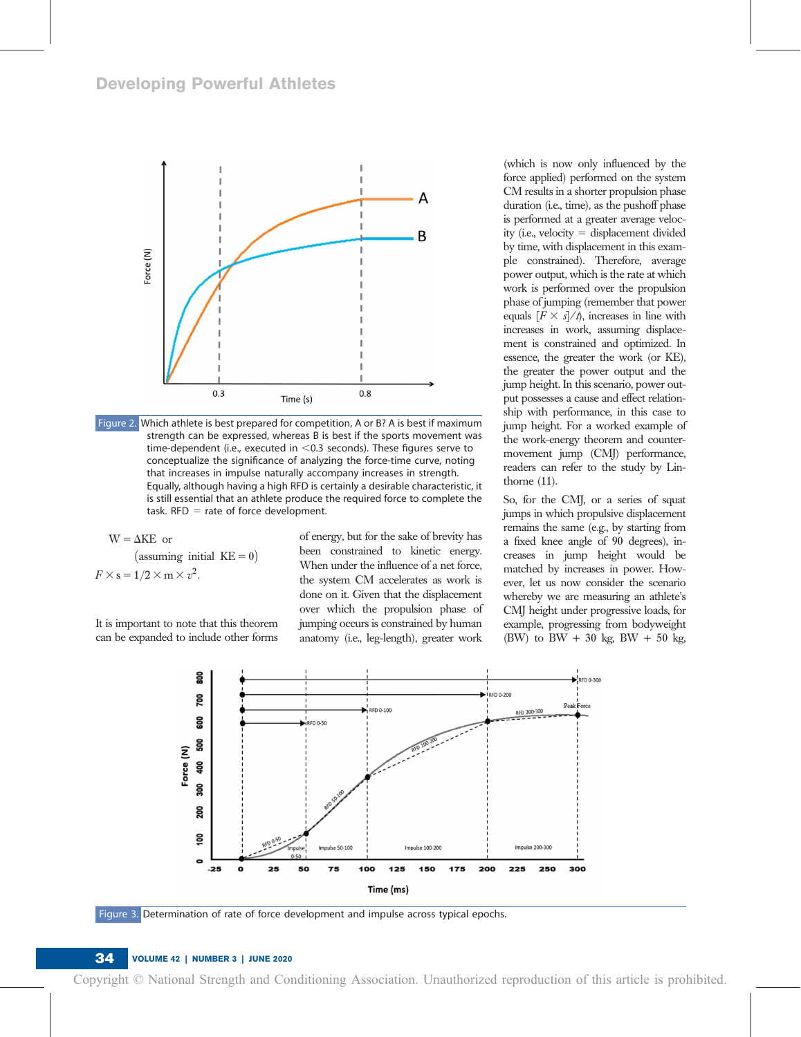

Figure 2. Which athlete is best prepared for competition, A or B? A is best if maximum strength can be expressed, whereas B is best if the sports movement was time-dependent (i.e., executed in  $<$  0.3 seconds). These figures serve to conceptualize the significance of analyzing the force-time curve, noting that increases in impulse naturally accompany increases in strength. Equally, although having a high RFD is certainly a desirable characteristic, it is still essential that an athlete produce the required force to complete the task. RFD  $=$  rate of force development.

 $W = \Delta KE$  or (assuming initial  $KE = 0$ )  $F \times s = 1/2 \times m \times v^2$ .

It is important to note that this theorem can be expanded to include other forms

of energy, but for the sake of brevity has been constrained to kinetic energy. When under the influence of a net force, the system CM accelerates as work is done on it. Given that the displacement over which the propulsion phase of jumping occurs is constrained by human anatomy (i.e., leg-length), greater work

(which is now only influenced by the force applied) performed on the system CM results in a shorter propulsion phase duration (i.e., time), as the pushoff phase is performed at a greater average velocity (i.e., velocity  $=$  displacement divided by time, with displacement in this example constrained). Therefore, average power output, which is the rate at which work is performed over the propulsion phase of jumping (remember that power equals  $[F \times s]/t$ , increases in line with increases in work, assuming displacement is constrained and optimized. In essence, the greater the work (or KE), the greater the power output and the jump height. In this scenario, power output possesses a cause and effect relationship with performance, in this case to jump height. For a worked example of the work-energy theorem and countermovement jump (CMJ) performance, readers can refer to the study by Linthorne (11).

So, for the CMJ, or a series of squat jumps in which propulsive displacement remains the same (e.g., by starting from a fixed knee angle of 90 degrees), increases in jump height would be matched by increases in power. However, let us now consider the scenario whereby we are measuring an athlete's CMJ height under progressive loads, for example, progressing from bodyweight (BW) to BW + 30 kg, BW + 50 kg,



Figure 3. Determination of rate of force development and impulse across typical epochs.

#### 34 VOLUME 42 | NUMBER 3 | JUNE 2020

Copyright © National Strength and Conditioning Association. Unauthorized reproduction of this article is prohibited.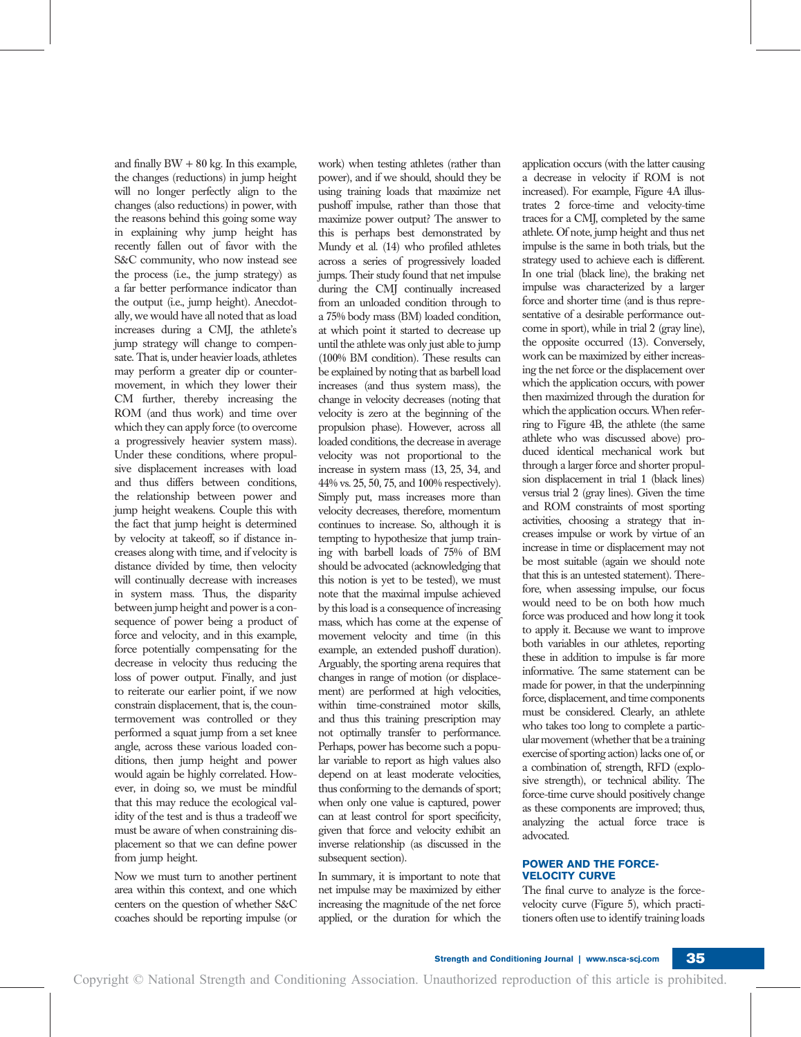and finally  $BW + 80$  kg. In this example, the changes (reductions) in jump height will no longer perfectly align to the changes (also reductions) in power, with the reasons behind this going some way in explaining why jump height has recently fallen out of favor with the S&C community, who now instead see the process (i.e., the jump strategy) as a far better performance indicator than the output (i.e., jump height). Anecdotally, we would have all noted that as load increases during a CMJ, the athlete's jump strategy will change to compensate. That is, under heavier loads, athletes may perform a greater dip or countermovement, in which they lower their CM further, thereby increasing the ROM (and thus work) and time over which they can apply force (to overcome a progressively heavier system mass). Under these conditions, where propulsive displacement increases with load and thus differs between conditions, the relationship between power and jump height weakens. Couple this with the fact that jump height is determined by velocity at takeoff, so if distance increases along with time, and if velocity is distance divided by time, then velocity will continually decrease with increases in system mass. Thus, the disparity between jump height and power is a consequence of power being a product of force and velocity, and in this example, force potentially compensating for the decrease in velocity thus reducing the loss of power output. Finally, and just to reiterate our earlier point, if we now constrain displacement, that is, the countermovement was controlled or they performed a squat jump from a set knee angle, across these various loaded conditions, then jump height and power would again be highly correlated. However, in doing so, we must be mindful that this may reduce the ecological validity of the test and is thus a tradeoff we must be aware of when constraining displacement so that we can define power from jump height.

Now we must turn to another pertinent area within this context, and one which centers on the question of whether S&C coaches should be reporting impulse (or

work) when testing athletes (rather than power), and if we should, should they be using training loads that maximize net pushoff impulse, rather than those that maximize power output? The answer to this is perhaps best demonstrated by Mundy et al. (14) who profiled athletes across a series of progressively loaded jumps. Their study found that net impulse during the CMJ continually increased from an unloaded condition through to a 75% body mass (BM) loaded condition, at which point it started to decrease up until the athlete was only just able to jump (100% BM condition). These results can be explained by noting that as barbell load increases (and thus system mass), the change in velocity decreases (noting that velocity is zero at the beginning of the propulsion phase). However, across all loaded conditions, the decrease in average velocity was not proportional to the increase in system mass (13, 25, 34, and 44% vs. 25, 50, 75, and 100% respectively). Simply put, mass increases more than velocity decreases, therefore, momentum continues to increase. So, although it is tempting to hypothesize that jump training with barbell loads of 75% of BM should be advocated (acknowledging that this notion is yet to be tested), we must note that the maximal impulse achieved by this load is a consequence of increasing mass, which has come at the expense of movement velocity and time (in this example, an extended pushoff duration). Arguably, the sporting arena requires that changes in range of motion (or displacement) are performed at high velocities, within time-constrained motor skills, and thus this training prescription may not optimally transfer to performance. Perhaps, power has become such a popular variable to report as high values also depend on at least moderate velocities, thus conforming to the demands of sport; when only one value is captured, power can at least control for sport specificity, given that force and velocity exhibit an inverse relationship (as discussed in the subsequent section).

In summary, it is important to note that net impulse may be maximized by either increasing the magnitude of the net force applied, or the duration for which the application occurs (with the latter causing a decrease in velocity if ROM is not increased). For example, Figure 4A illustrates 2 force-time and velocity-time traces for a CMJ, completed by the same athlete. Of note, jump height and thus net impulse is the same in both trials, but the strategy used to achieve each is different. In one trial (black line), the braking net impulse was characterized by a larger force and shorter time (and is thus representative of a desirable performance outcome in sport), while in trial 2 (gray line), the opposite occurred (13). Conversely, work can be maximized by either increasing the net force or the displacement over which the application occurs, with power then maximized through the duration for which the application occurs. When referring to Figure 4B, the athlete (the same athlete who was discussed above) produced identical mechanical work but through a larger force and shorter propulsion displacement in trial 1 (black lines) versus trial 2 (gray lines). Given the time and ROM constraints of most sporting activities, choosing a strategy that increases impulse or work by virtue of an increase in time or displacement may not be most suitable (again we should note that this is an untested statement). Therefore, when assessing impulse, our focus would need to be on both how much force was produced and how long it took to apply it. Because we want to improve both variables in our athletes, reporting these in addition to impulse is far more informative. The same statement can be made for power, in that the underpinning force, displacement, and time components must be considered. Clearly, an athlete who takes too long to complete a particular movement (whether that be a training exercise of sporting action) lacks one of, or a combination of, strength, RFD (explosive strength), or technical ability. The force-time curve should positively change as these components are improved; thus, analyzing the actual force trace is advocated.

#### POWER AND THE FORCE-VELOCITY CURVE

The final curve to analyze is the forcevelocity curve (Figure 5), which practitioners often use to identify training loads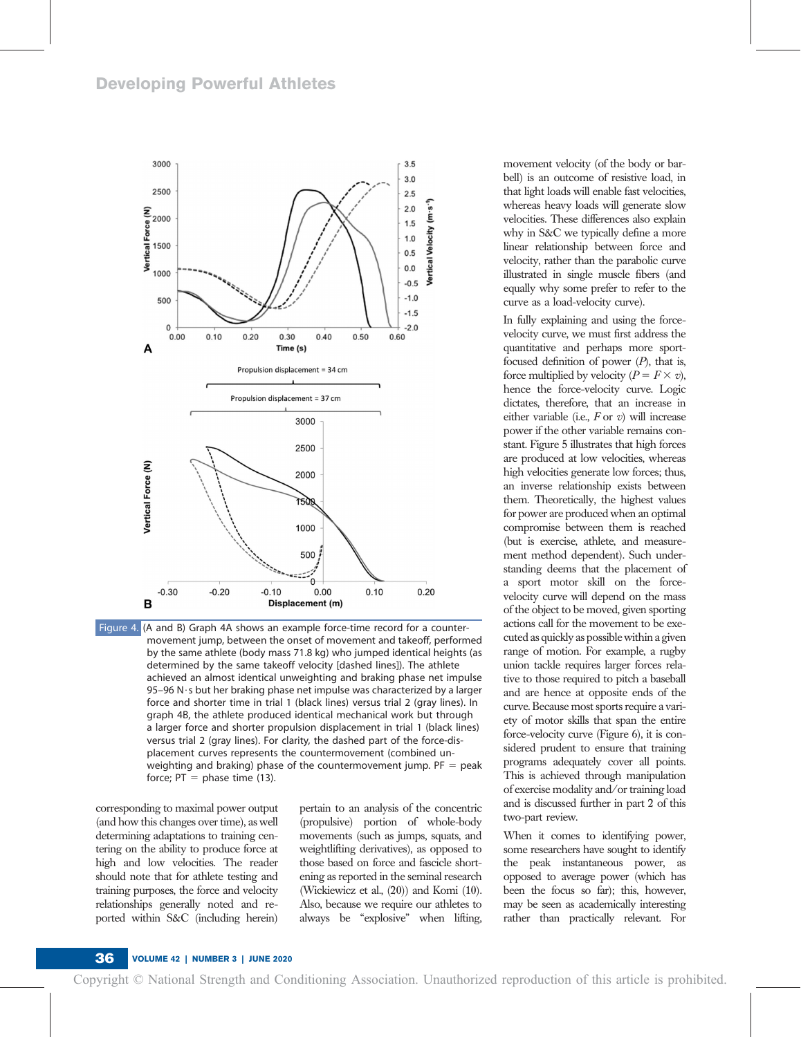

Figure 4. (A and B) Graph 4A shows an example force-time record for a countermovement jump, between the onset of movement and takeoff, performed by the same athlete (body mass 71.8 kg) who jumped identical heights (as determined by the same takeoff velocity [dashed lines]). The athlete achieved an almost identical unweighting and braking phase net impulse 95–96 N $\cdot$ s but her braking phase net impulse was characterized by a larger force and shorter time in trial 1 (black lines) versus trial 2 (gray lines). In graph 4B, the athlete produced identical mechanical work but through a larger force and shorter propulsion displacement in trial 1 (black lines) versus trial 2 (gray lines). For clarity, the dashed part of the force-displacement curves represents the countermovement (combined unweighting and braking) phase of the countermovement jump.  $PF = peak$ force;  $PT =$  phase time (13).

corresponding to maximal power output (and how this changes over time), as well determining adaptations to training centering on the ability to produce force at high and low velocities. The reader should note that for athlete testing and training purposes, the force and velocity relationships generally noted and reported within S&C (including herein)

pertain to an analysis of the concentric (propulsive) portion of whole-body movements (such as jumps, squats, and weightlifting derivatives), as opposed to those based on force and fascicle shortening as reported in the seminal research (Wickiewicz et al., (20)) and Komi (10). Also, because we require our athletes to always be "explosive" when lifting,

movement velocity (of the body or barbell) is an outcome of resistive load, in that light loads will enable fast velocities, whereas heavy loads will generate slow velocities. These differences also explain why in S&C we typically define a more linear relationship between force and velocity, rather than the parabolic curve illustrated in single muscle fibers (and equally why some prefer to refer to the curve as a load-velocity curve).

In fully explaining and using the forcevelocity curve, we must first address the quantitative and perhaps more sportfocused definition of power  $(P)$ , that is, force multiplied by velocity  $(P = F \times v)$ , hence the force-velocity curve. Logic dictates, therefore, that an increase in either variable (i.e.,  $F$  or  $v$ ) will increase power if the other variable remains constant. Figure 5 illustrates that high forces are produced at low velocities, whereas high velocities generate low forces; thus, an inverse relationship exists between them. Theoretically, the highest values for power are produced when an optimal compromise between them is reached (but is exercise, athlete, and measurement method dependent). Such understanding deems that the placement of a sport motor skill on the forcevelocity curve will depend on the mass of the object to be moved, given sporting actions call for the movement to be executed as quickly as possible within a given range of motion. For example, a rugby union tackle requires larger forces relative to those required to pitch a baseball and are hence at opposite ends of the curve. Because most sports require a variety of motor skills that span the entire force-velocity curve (Figure 6), it is considered prudent to ensure that training programs adequately cover all points. This is achieved through manipulation of exercise modality and/or training load and is discussed further in part 2 of this two-part review.

When it comes to identifying power, some researchers have sought to identify the peak instantaneous power, as opposed to average power (which has been the focus so far); this, however, may be seen as academically interesting rather than practically relevant. For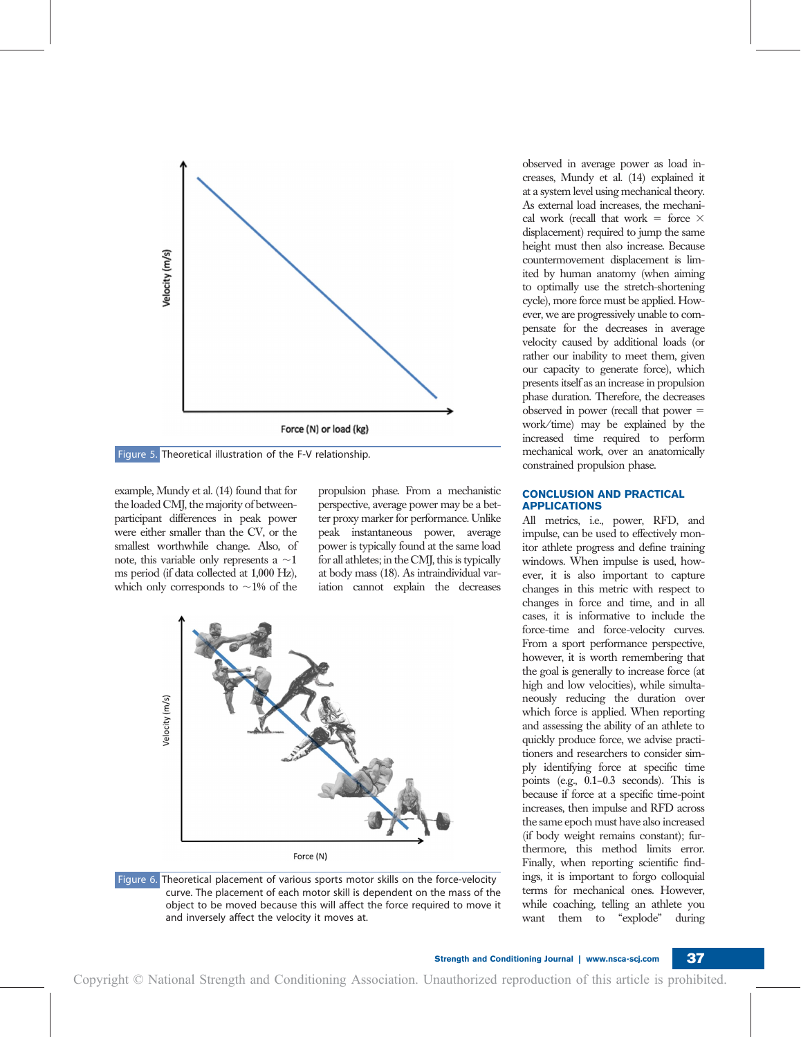

Figure 5. Theoretical illustration of the F-V relationship.

example, Mundy et al. (14) found that for the loaded CMJ, the majority of betweenparticipant differences in peak power were either smaller than the CV, or the smallest worthwhile change. Also, of note, this variable only represents a  $\sim$ 1 ms period (if data collected at 1,000 Hz), which only corresponds to  $\sim$ 1% of the propulsion phase. From a mechanistic perspective, average power may be a better proxy marker for performance. Unlike peak instantaneous power, average power is typically found at the same load for all athletes; in the CMJ, this is typically at body mass (18). As intraindividual variation cannot explain the decreases





observed in average power as load increases, Mundy et al. (14) explained it at a system level using mechanical theory. As external load increases, the mechanical work (recall that work = force  $\times$ displacement) required to jump the same height must then also increase. Because countermovement displacement is limited by human anatomy (when aiming to optimally use the stretch-shortening cycle), more force must be applied. However, we are progressively unable to compensate for the decreases in average velocity caused by additional loads (or rather our inability to meet them, given our capacity to generate force), which presents itself as an increase in propulsion phase duration. Therefore, the decreases observed in power (recall that power  $=$ work/time) may be explained by the increased time required to perform mechanical work, over an anatomically constrained propulsion phase.

#### CONCLUSION AND PRACTICAL APPLICATIONS

All metrics, i.e., power, RFD, and impulse, can be used to effectively monitor athlete progress and define training windows. When impulse is used, however, it is also important to capture changes in this metric with respect to changes in force and time, and in all cases, it is informative to include the force-time and force-velocity curves. From a sport performance perspective, however, it is worth remembering that the goal is generally to increase force (at high and low velocities), while simultaneously reducing the duration over which force is applied. When reporting and assessing the ability of an athlete to quickly produce force, we advise practitioners and researchers to consider simply identifying force at specific time points (e.g., 0.1–0.3 seconds). This is because if force at a specific time-point increases, then impulse and RFD across the same epoch must have also increased (if body weight remains constant); furthermore, this method limits error. Finally, when reporting scientific findings, it is important to forgo colloquial terms for mechanical ones. However, while coaching, telling an athlete you want them to "explode" during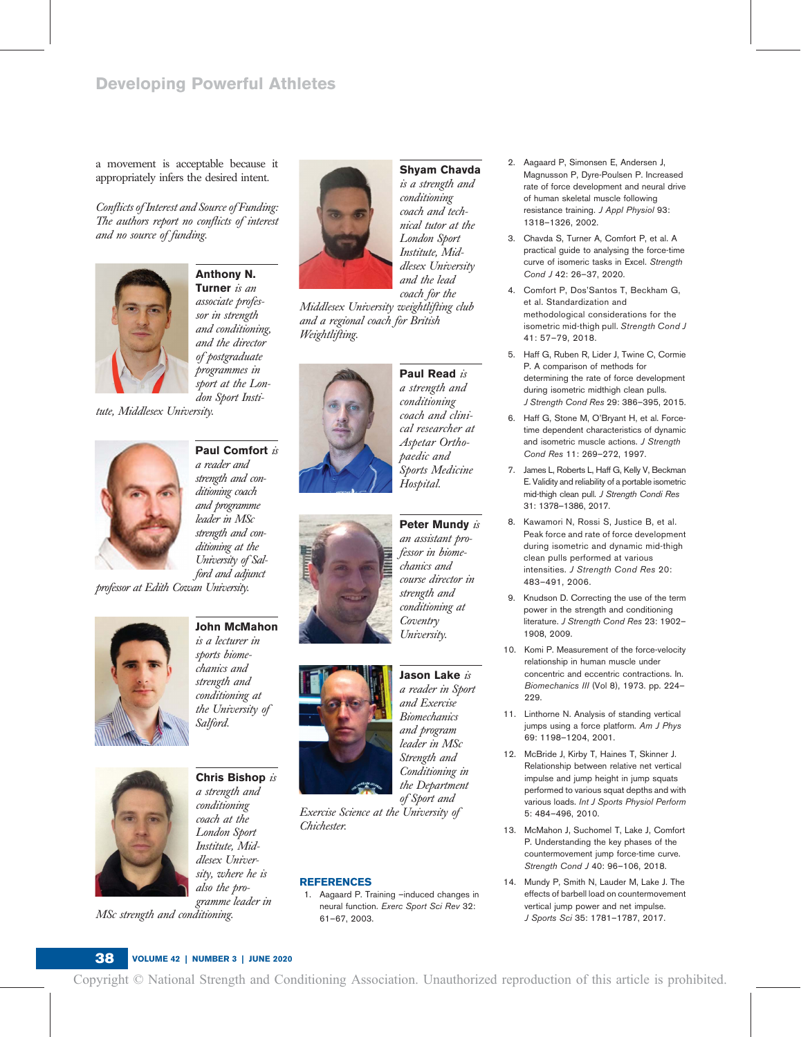## Developing Powerful Athletes

a movement is acceptable because it appropriately infers the desired intent.

Conflicts of Interest and Source of Funding: The authors report no conflicts of interest and no source of funding.



Anthony N. Turner is an associate professor in strength and conditioning, and the director of postgraduate programmes in sport at the London Sport Insti-

tute, Middlesex University.



Paul Comfort is a reader and strength and conditioning coach and programme leader in MSc strength and conditioning at the University of Salford and adjunct

professor at Edith Cowan University.





is a lecturer in sports biomechanics and strength and conditioning at the University of Salford.



Chris Bishop is a strength and conditioning coach at the London Sport Institute, Middlesex University, where he is also the programme leader in

MSc strength and conditioning.



Shyam Chavda is a strength and conditioning coach and technical tutor at the London Sport Institute, Middlesex University and the lead coach for the

Middlesex University weightlifting club and a regional coach for British Weightlifting.



Paul Read is a strength and conditioning coach and clinical researcher at Aspetar Orthopaedic and Sports Medicine Hospital.

Peter Mundy is an assistant pro-





a reader in Sport and Exercise **Biomechanics** and program leader in MSc Strength and Conditioning in the Department

of Sport and

Exercise Science at the University of Chichester.

#### REFERENCES

1. Aagaard P. Training –induced changes in neural function. Exerc Sport Sci Rev 32: 61–67, 2003.

#### 2. Aagaard P, Simonsen E, Andersen J, Magnusson P, Dyre-Poulsen P. Increased rate of force development and neural drive of human skeletal muscle following resistance training. J Appl Physiol 93: 1318–1326, 2002.

- 3. Chavda S, Turner A, Comfort P, et al. A practical guide to analysing the force-time curve of isomeric tasks in Excel. Strength Cond J 42: 26–37, 2020.
- 4. Comfort P, Dos'Santos T, Beckham G, et al. Standardization and methodological considerations for the isometric mid-thigh pull. Strength Cond J 41: 57–79, 2018.
- 5. Haff G, Ruben R, Lider J, Twine C, Cormie P. A comparison of methods for determining the rate of force development during isometric midthigh clean pulls. J Strength Cond Res 29: 386–395, 2015.
- 6. Haff G, Stone M, O'Bryant H, et al. Forcetime dependent characteristics of dynamic and isometric muscle actions. J Strength Cond Res 11: 269–272, 1997.
- 7. James L, Roberts L, Haff G, Kelly V, Beckman E. Validity and reliability of a portable isometric mid-thigh clean pull. J Strength Condi Res 31: 1378–1386, 2017.
- 8. Kawamori N, Rossi S, Justice B, et al. Peak force and rate of force development during isometric and dynamic mid-thigh clean pulls performed at various intensities. J Strength Cond Res 20: 483–491, 2006.
- 9. Knudson D. Correcting the use of the term power in the strength and conditioning literature. J Strength Cond Res 23: 1902– 1908, 2009.
- 10. Komi P. Measurement of the force-velocity relationship in human muscle under concentric and eccentric contractions. In. Biomechanics III (Vol 8), 1973. pp. 224– 229.
- 11. Linthorne N. Analysis of standing vertical jumps using a force platform. Am J Phys 69: 1198–1204, 2001.
- 12. McBride J, Kirby T, Haines T, Skinner J. Relationship between relative net vertical impulse and jump height in jump squats performed to various squat depths and with various loads. Int J Sports Physiol Perform 5: 484–496, 2010.
- 13. McMahon J, Suchomel T, Lake J, Comfort P. Understanding the key phases of the countermovement jump force-time curve. Strength Cond J 40: 96–106, 2018.
- 14. Mundy P, Smith N, Lauder M, Lake J. The effects of barbell load on countermovement vertical jump power and net impulse. J Sports Sci 35: 1781–1787, 2017.

#### 38 VOLUME 42 | NUMBER 3 | JUNE 2020

Copyright © National Strength and Conditioning Association. Unauthorized reproduction of this article is prohibited.

fessor in biomechanics and